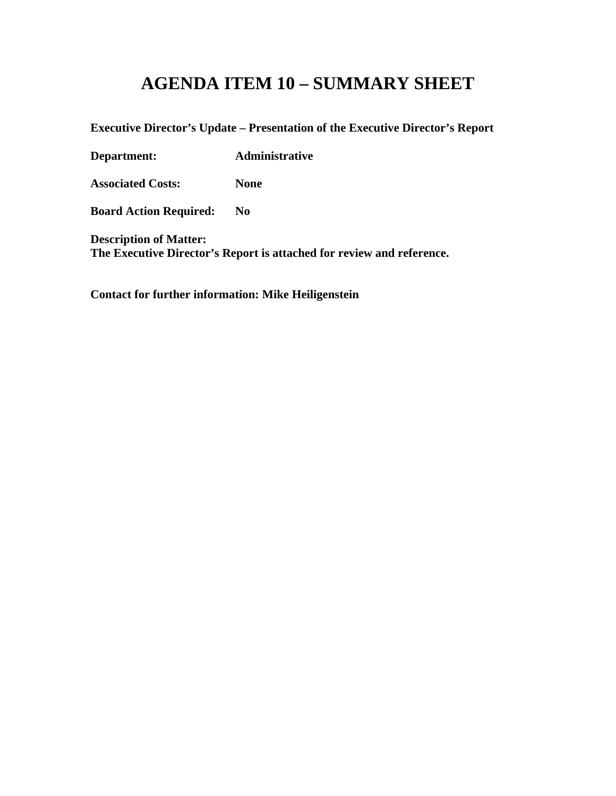# **AGENDA ITEM 10 – SUMMARY SHEET**

**Executive Director's Update – Presentation of the Executive Director's Report**

**Department: Administrative**

**Associated Costs: None**

**Board Action Required: No**

**Description of Matter: The Executive Director's Report is attached for review and reference.**

**Contact for further information: Mike Heiligenstein**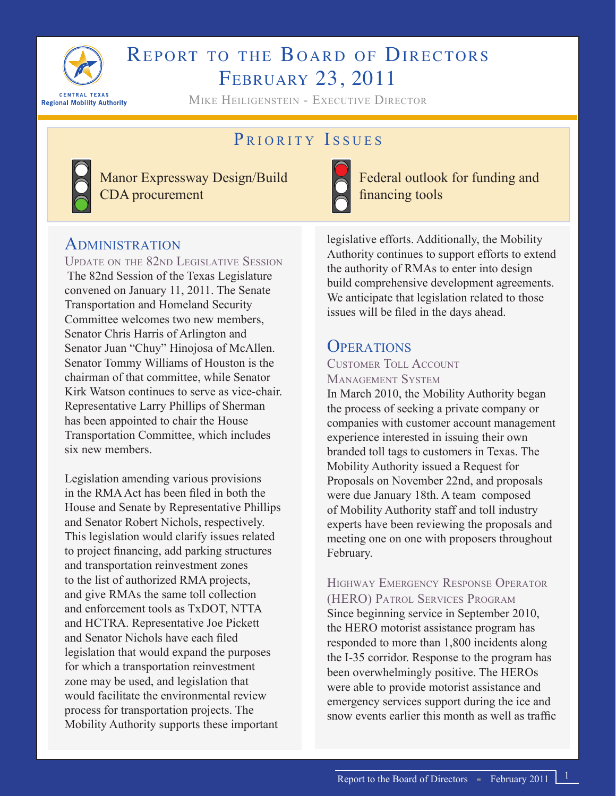

# REPORT TO THE BOARD OF DIRECTORS February 23, 2011

Mike Heiligenstein - Executive Director

# PRIORITY ISSUES



Manor Expressway Design/Build CDA procurement



Federal outlook for funding and financing tools

### ADMINISTRATION

Update on the 82nd Legislative Session The 82nd Session of the Texas Legislature convened on January 11, 2011. The Senate Transportation and Homeland Security Committee welcomes two new members, Senator Chris Harris of Arlington and Senator Juan "Chuy" Hinojosa of McAllen. Senator Tommy Williams of Houston is the chairman of that committee, while Senator Kirk Watson continues to serve as vice-chair. Representative Larry Phillips of Sherman has been appointed to chair the House Transportation Committee, which includes six new members.

Legislation amending various provisions in the RMA Act has been filed in both the House and Senate by Representative Phillips and Senator Robert Nichols, respectively. This legislation would clarify issues related to project financing, add parking structures and transportation reinvestment zones to the list of authorized RMA projects, and give RMAs the same toll collection and enforcement tools as TxDOT, NTTA and HCTRA. Representative Joe Pickett and Senator Nichols have each filed legislation that would expand the purposes for which a transportation reinvestment zone may be used, and legislation that would facilitate the environmental review process for transportation projects. The Mobility Authority supports these important

legislative efforts. Additionally, the Mobility Authority continues to support efforts to extend the authority of RMAs to enter into design build comprehensive development agreements. We anticipate that legislation related to those issues will be filed in the days ahead.

# **OPERATIONS**

#### Customer Toll Account Management System

In March 2010, the Mobility Authority began the process of seeking a private company or companies with customer account management experience interested in issuing their own branded toll tags to customers in Texas. The Mobility Authority issued a Request for Proposals on November 22nd, and proposals were due January 18th. A team composed of Mobility Authority staff and toll industry experts have been reviewing the proposals and meeting one on one with proposers throughout February.

Highway Emergency Response Operator (HERO) Patrol Services Program Since beginning service in September 2010, the HERO motorist assistance program has responded to more than 1,800 incidents along the I-35 corridor. Response to the program has been overwhelmingly positive. The HEROs were able to provide motorist assistance and emergency services support during the ice and snow events earlier this month as well as traffic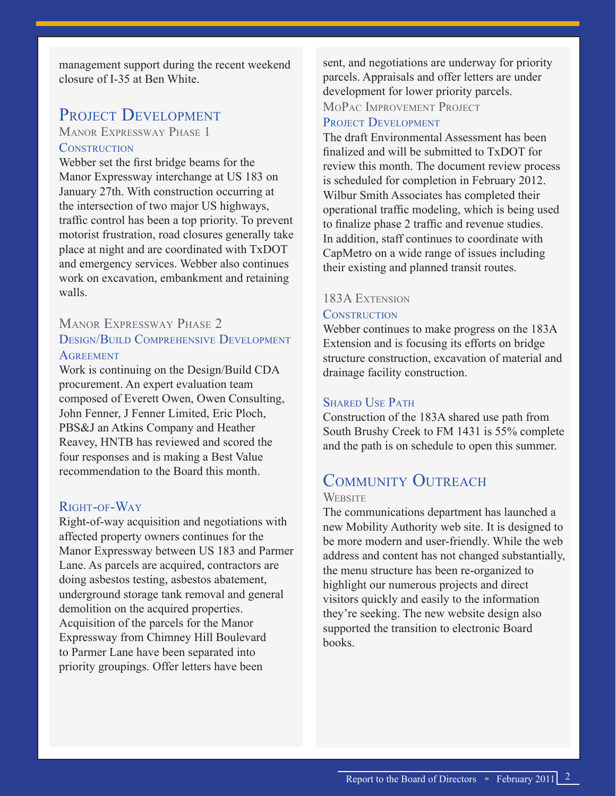management support during the recent weekend closure of I-35 at Ben White.

## PROJECT DEVELOPMENT

#### Manor Expressway Phase 1 **CONSTRUCTION**

Webber set the first bridge beams for the Manor Expressway interchange at US 183 on January 27th. With construction occurring at the intersection of two major US highways, traffic control has been a top priority. To prevent motorist frustration, road closures generally take place at night and are coordinated with TxDOT and emergency services. Webber also continues work on excavation, embankment and retaining walls.

#### Manor Expressway Phase 2 Design/Build Comprehensive Development **AGREEMENT**

Work is continuing on the Design/Build CDA procurement. An expert evaluation team composed of Everett Owen, Owen Consulting, John Fenner, J Fenner Limited, Eric Ploch, PBS&J an Atkins Company and Heather Reavey, HNTB has reviewed and scored the four responses and is making a Best Value recommendation to the Board this month.

#### Right-of-Way

Right-of-way acquisition and negotiations with affected property owners continues for the Manor Expressway between US 183 and Parmer Lane. As parcels are acquired, contractors are doing asbestos testing, asbestos abatement, underground storage tank removal and general demolition on the acquired properties. Acquisition of the parcels for the Manor Expressway from Chimney Hill Boulevard to Parmer Lane have been separated into priority groupings. Offer letters have been

sent, and negotiations are underway for priority parcels. Appraisals and offer letters are under development for lower priority parcels. MoPac Improvement Project

#### PROJECT DEVELOPMENT

The draft Environmental Assessment has been finalized and will be submitted to TxDOT for review this month. The document review process is scheduled for completion in February 2012. Wilbur Smith Associates has completed their operational traffic modeling, which is being used to finalize phase 2 traffic and revenue studies. In addition, staff continues to coordinate with CapMetro on a wide range of issues including their existing and planned transit routes.

#### 183A Extension

#### **CONSTRUCTION**

Webber continues to make progress on the 183A Extension and is focusing its efforts on bridge structure construction, excavation of material and drainage facility construction.

#### SHARED USE PATH

Construction of the 183A shared use path from South Brushy Creek to FM 1431 is 55% complete and the path is on schedule to open this summer.

# COMMUNITY OUTREACH

#### **WEBSITE**

The communications department has launched a new Mobility Authority web site. It is designed to be more modern and user-friendly. While the web address and content has not changed substantially, the menu structure has been re-organized to highlight our numerous projects and direct visitors quickly and easily to the information they're seeking. The new website design also supported the transition to electronic Board books.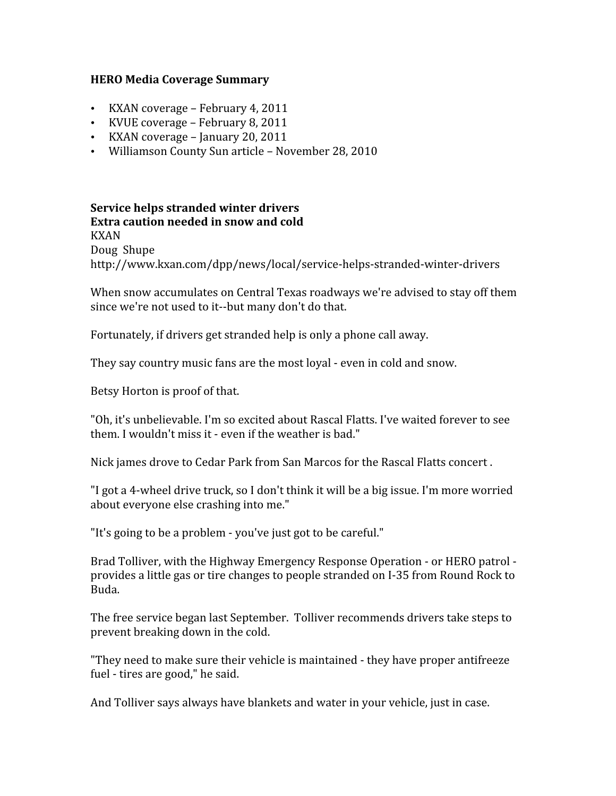#### **HERO
Media
Coverage
Summary**

- KXAN
coverage
–
February
4,
2011
- KVUE
coverage
–
February
8,
2011
- KXAN coverage January 20, 2011
- Williamson
County
Sun
article
–
November
28,
2010

**Service
helps
stranded
winter
drivers Extra
caution
needed
in
snow
and
cold** KXAN Doug Shupe http://www.kxan.com/dpp/news/local/service‐helps‐stranded‐winter‐drivers

When snow accumulates on Central Texas roadways we're advised to stay off them since we're not used to it--but many don't do that.

Fortunately, if drivers get stranded help is only a phone call away.

They
say
country
music
fans
are
the
most
loyal
‐
even
in
cold
and
snow.

Betsy
Horton
is
proof
of
that.

"Oh, it's unbelievable. I'm so excited about Rascal Flatts. I've waited forever to see them. I wouldn't miss it - even if the weather is bad."

Nick james drove to Cedar Park from San Marcos for the Rascal Flatts concert.

"I
got
a
4‐wheel
drive
truck,
so
I
don't
think
it
will
be
a
big
issue.
I'm
more
worried about
everyone
else
crashing
into
me."

"It's going to be a problem - you've just got to be careful."

Brad Tolliver, with the Highway Emergency Response Operation - or HERO patrol provides
a
little
gas
or
tire
changes
to
people
stranded
on
I‐35
from
Round
Rock
to Buda.

The
free
service
began
last
September. Tolliver
recommends
drivers
take
steps
to prevent
breaking
down
in
the
cold.

"They need to make sure their vehicle is maintained - they have proper antifreeze fuel
‐
tires
are
good,"
he
said.

And Tolliver says always have blankets and water in your vehicle, just in case.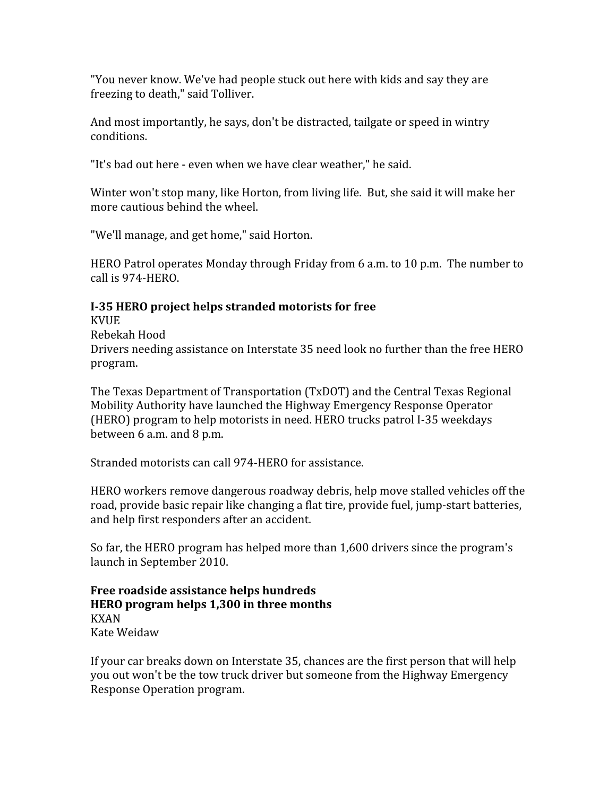"You
never
know.
We've
had
people
stuck
out
here
with
kids
and
say
they
are freezing
to
death,"
said
Tolliver.

And
most
importantly,
he
says,
don't
be
distracted,
tailgate
or
speed
in
wintry conditions.

"It's
bad
out
here
‐
even
when
we
have
clear
weather,"
he
said.

Winter won't stop many, like Horton, from living life. But, she said it will make her more
cautious
behind
the
wheel.

"We'll
manage,
and
get
home,"
said
Horton.

HERO Patrol operates Monday through Friday from 6 a.m. to 10 p.m. The number to call
is
974‐HERO.

#### I-35 HERO project helps stranded motorists for free

KVUE

Rebekah
Hood

Drivers needing assistance on Interstate 35 need look no further than the free HERO program.

The
Texas
Department
of
Transportation
(TxDOT)
and
the
Central
Texas
Regional Mobility
Authority
have
launched
the
Highway
Emergency
Response
Operator (HERO)
program
to
help
motorists
in
need.
HERO
trucks
patrol
I‐35
weekdays between
6
a.m.
and
8
p.m.

Stranded
motorists
can
call
974‐HERO
for
assistance.

HERO
workers
remove
dangerous
roadway
debris,
help
move
stalled
vehicles
off
the road, provide basic repair like changing a flat tire, provide fuel, jump-start batteries, and
help
first
responders
after
an
accident.

So
far,
the
HERO program
has
helped
more
than
1,600
drivers
since
the
program's launch
in
September
2010.

**Free
roadside
assistance
helps
hundreds HERO
program
helps
1,300
in
three
months** KXAN Kate
Weidaw

If
your
car
breaks
down
on
Interstate
35,
chances
are
the
first
person
that
will
help you
out
won't
be
the
tow
truck
driver
but
someone
from
the
Highway
Emergency Response
Operation
program.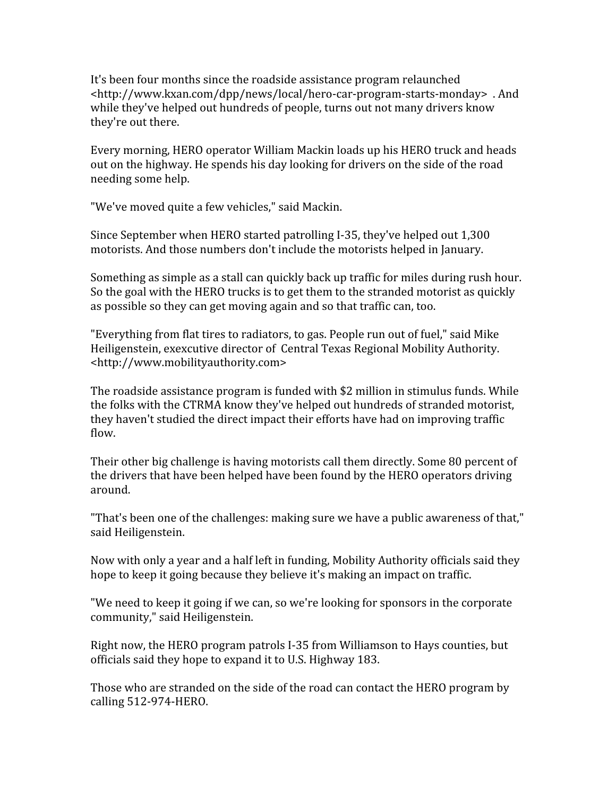It's
been
four
months
since
the roadside
assistance
program
relaunched <http://www.kxan.com/dpp/news/local/hero‐car‐program‐starts‐monday> .
And while they've helped out hundreds of people, turns out not many drivers know they're out there.

Every
morning,
HERO
operator
William
Mackin
loads
up
his
HERO
truck
and
heads out on the highway. He spends his day looking for drivers on the side of the road needing
some
help.

"We've
moved
quite
a
few
vehicles,"
said
Mackin.

Since
September
when
HERO
started
patrolling
I‐35,
they've
helped
out
1,300 motorists.
And
those
numbers
don't
include
the
motorists
helped
in
January.

Something as simple as a stall can quickly back up traffic for miles during rush hour. So the goal with the HERO trucks is to get them to the stranded motorist as quickly as
possible
so
they
can
get
moving
again
and
so
that
traffic
can,
too.

"Everything from flat tires to radiators, to gas. People run out of fuel," said Mike Heiligenstein,
exexcutive
director
of Central
Texas
Regional
Mobility
Authority. <http://www.mobilityauthority.com>

The roadside assistance program is funded with \$2 million in stimulus funds. While the
folks
with
the
CTRMA
know
they've
helped
out
hundreds
of
stranded
motorist, they haven't studied the direct impact their efforts have had on improving traffic flow.

Their
other
big
challenge
is
having
motorists
call
them
directly.
Some
80
percent
of the drivers that have been helped have been found by the HERO operators driving around.

"That's been one of the challenges: making sure we have a public awareness of that," said
Heiligenstein.

Now with only a year and a half left in funding, Mobility Authority officials said they hope to keep it going because they believe it's making an impact on traffic.

"We need to keep it going if we can, so we're looking for sponsors in the corporate community,"
said
Heiligenstein.

Right
now,
the
HERO
program
patrols
I‐35
from
Williamson
to
Hays
counties,
but officials
said
they
hope
to
expand
it
to
U.S.
Highway
183.

Those who are stranded on the side of the road can contact the HERO program by calling
512‐974‐HERO.